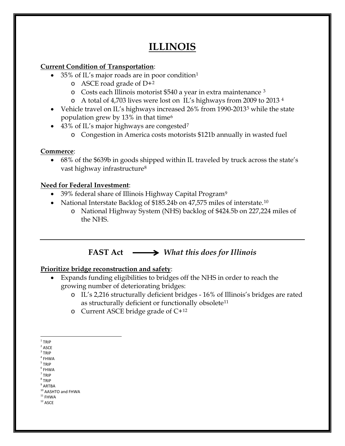# **ILLINOIS**

### **Current Condition of Transportation**:

- 35% of IL's major roads are in poor condition[1](#page-0-0)
	- $\circ$  ASCE road grade of D+[2](#page-0-1)
	- o Costs each Illinois motorist \$540 a year in extra maintenance [3](#page-0-2)
	- o A total of 4,703 lives were lost on IL's highways from 2009 to 2013 [4](#page-0-3)
- Vehicle travel on IL's highways increased 26% from 1990-2013<sup>[5](#page-0-4)</sup> while the state population grew by 13% in that time[6](#page-0-5)
- 43% of IL's major highways are congested<sup>[7](#page-0-6)</sup>
	- o Congestion in America costs motorists \$121b annually in wasted fuel

### **Commerce**:

• 68% of the \$639b in goods shipped within IL traveled by truck across the state's vast highway infrastructure<sup>[8](#page-0-7)</sup>

## **Need for Federal Investment**:

- 39% federal share of Illinois Highway Capital Program<sup>9</sup>
- National Interstate Backlog of \$185.24b on 47,575 miles of interstate.<sup>[10](#page-0-9)</sup>
	- o National Highway System (NHS) backlog of \$424.5b on 227,224 miles of the NHS.

# **FAST Act** *What this does for Illinois*

### **Prioritize bridge reconstruction and safety**:

- Expands funding eligibilities to bridges off the NHS in order to reach the growing number of deteriorating bridges:
	- o IL's 2,216 structurally deficient bridges 16% of Illinois's bridges are rated as structurally deficient or functionally obsolete<sup>[11](#page-0-10)</sup>
	- o Current ASCE bridge grade of C+[12](#page-0-11)

- <span id="page-0-4"></span><sup>5</sup> TRIP
- <span id="page-0-5"></span><sup>6</sup> FHWA  $<sup>7</sup>$  TRIP</sup>
- <span id="page-0-6"></span><sup>8</sup> TRIP

<span id="page-0-11"></span><span id="page-0-10"></span> $^{\rm 12}$  ASCE

<span id="page-0-0"></span> $1$  TRIP

<span id="page-0-1"></span> $2$  ASCE

<span id="page-0-3"></span><span id="page-0-2"></span> $3$  TRIP

 $4$  FHWA

<span id="page-0-8"></span><span id="page-0-7"></span> $^9$  ARTBA

<span id="page-0-9"></span> $10$  AASHTO and FHWA<br> $11$  FHWA